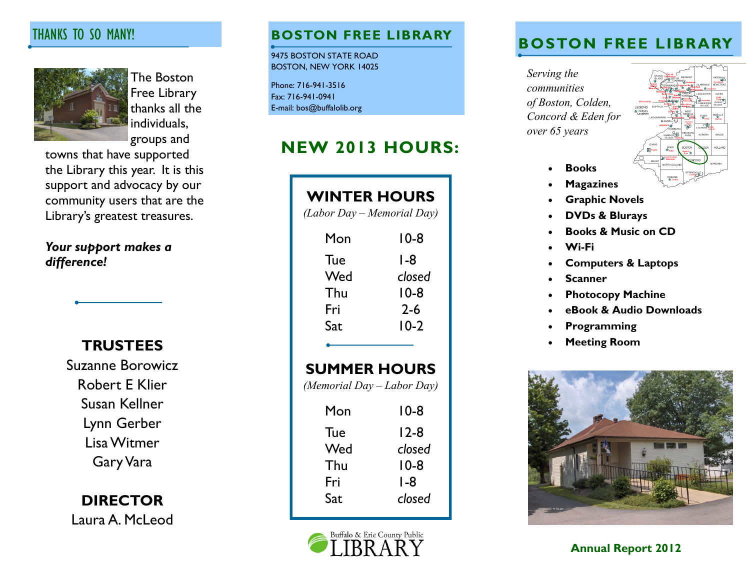# THANKS TO SO MANY!



The Boston Free Library thanks all the individuals, groups and

towns that have supported the Library this year. It is this support and advocacy by our community users that are the Library's greatest treasures.

*Your support makes a difference!*

**TRUSTEES**

Suzanne Borowicz Robert E Klier Susan Kellner Lynn Gerber Lisa Witmer Gary Vara

**DIRECTOR** Laura A. McLeod

9475 BOSTON STATE ROAD BOSTON, NEW YORK 14025

Phone: 716-941-3516 Fax: 716-941-0941 E-mail: bos@buffalolib.org

# **NEW 2013 HOURS:**

| <b>WINTER HOURS</b><br>(Labor Day - Memorial Day) |         |
|---------------------------------------------------|---------|
| Mon                                               | 10-8    |
| Tue                                               | l -8    |
| Wed                                               | closed  |
| Thu                                               | $10-8$  |
| Fri                                               | $2 - 6$ |
| Sat                                               | $10-2$  |
| <b>SUMMER HOURS</b><br>(Memorial Day - Labor Day) |         |
| Mon                                               | 10-8    |
| Tue                                               | 12-8    |
| Wed                                               | closed  |
| Thu                                               | 10-8    |
| Fri                                               | $1-8$   |
| Sat                                               | closed  |



# **BOSTON FREE LIBRARY BOSTON FREE LIBRARY**

*Serving the communities of Boston, Colden, Concord & Eden for over 65 years*



- **Books**
- **Magazines**
- **Graphic Novels**
- **DVDs & Blurays**
- **Books & Music on CD**
- **Wi-Fi**
- **Computers & Laptops**
- **Scanner**
- **Photocopy Machine**
- **eBook & Audio Downloads**
- **Programming**
- **Meeting Room**